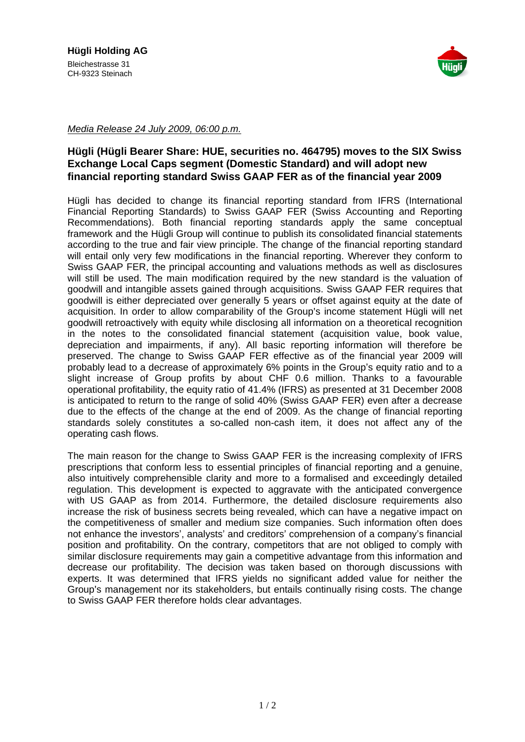

Media Release 24 July 2009, 06:00 p.m.

## **Hügli (Hügli Bearer Share: HUE, securities no. 464795) moves to the SIX Swiss Exchange Local Caps segment (Domestic Standard) and will adopt new financial reporting standard Swiss GAAP FER as of the financial year 2009**

Hügli has decided to change its financial reporting standard from IFRS (International Financial Reporting Standards) to Swiss GAAP FER (Swiss Accounting and Reporting Recommendations). Both financial reporting standards apply the same conceptual framework and the Hügli Group will continue to publish its consolidated financial statements according to the true and fair view principle. The change of the financial reporting standard will entail only very few modifications in the financial reporting. Wherever they conform to Swiss GAAP FER, the principal accounting and valuations methods as well as disclosures will still be used. The main modification required by the new standard is the valuation of goodwill and intangible assets gained through acquisitions. Swiss GAAP FER requires that goodwill is either depreciated over generally 5 years or offset against equity at the date of acquisition. In order to allow comparability of the Group's income statement Hügli will net goodwill retroactively with equity while disclosing all information on a theoretical recognition in the notes to the consolidated financial statement (acquisition value, book value, depreciation and impairments, if any). All basic reporting information will therefore be preserved. The change to Swiss GAAP FER effective as of the financial year 2009 will probably lead to a decrease of approximately 6% points in the Group's equity ratio and to a slight increase of Group profits by about CHF 0.6 million. Thanks to a favourable operational profitability, the equity ratio of 41.4% (IFRS) as presented at 31 December 2008 is anticipated to return to the range of solid 40% (Swiss GAAP FER) even after a decrease due to the effects of the change at the end of 2009. As the change of financial reporting standards solely constitutes a so-called non-cash item, it does not affect any of the operating cash flows.

The main reason for the change to Swiss GAAP FER is the increasing complexity of IFRS prescriptions that conform less to essential principles of financial reporting and a genuine, also intuitively comprehensible clarity and more to a formalised and exceedingly detailed regulation. This development is expected to aggravate with the anticipated convergence with US GAAP as from 2014. Furthermore, the detailed disclosure requirements also increase the risk of business secrets being revealed, which can have a negative impact on the competitiveness of smaller and medium size companies. Such information often does not enhance the investors', analysts' and creditors' comprehension of a company's financial position and profitability. On the contrary, competitors that are not obliged to comply with similar disclosure requirements may gain a competitive advantage from this information and decrease our profitability. The decision was taken based on thorough discussions with experts. It was determined that IFRS yields no significant added value for neither the Group's management nor its stakeholders, but entails continually rising costs. The change to Swiss GAAP FER therefore holds clear advantages.